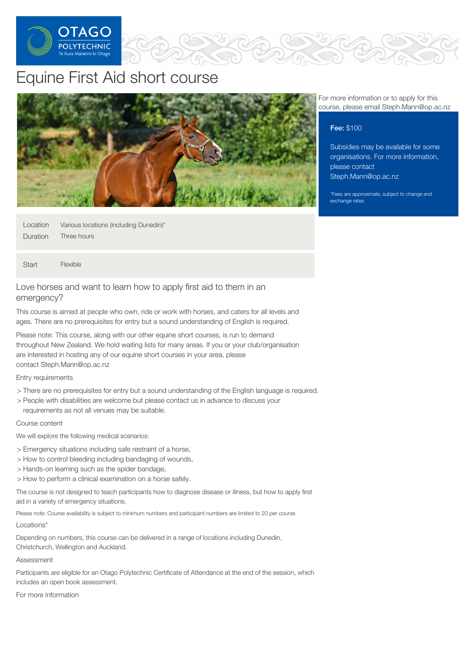

# Equine First Aid short course



| Location | Various locations (including Dunedin)* |
|----------|----------------------------------------|
| Duration | Three hours                            |

**Start** Flexible

# Love horses and want to learn how to apply first aid to them in an emergency?

This course is aimed at people who own, ride or work with horses, and caters for all levels and ages. There are no prerequisites for entry but a sound understanding of English is required.

Please note: This course, along with our other equine short courses, is run to demand throughout New Zealand. We hold waiting lists for many areas. If you or your club/organisation are interested in hosting any of our equine short courses in your area, please contact Steph.Mann@op.ac.nz

### Entry requirements

- > There are no prerequisites for entry but a sound understanding of the English language is required.
- > People with disabilities are welcome but please contact us in advance to discuss your requirements as not all venues may be suitable.

#### Course content

We will explore the following medical scenarios:

- > Emergency situations including safe restraint of a horse,
- > How to control bleeding including bandaging of wounds,
- > Hands-on learning such as the spider bandage,
- > How to perform a clinical examination on a horse safely.

The course is not designed to teach participants how to diagnose disease or illness, but how to apply first aid in a variety of emergency situations.

Please note: Course availability is subject to minimum numbers and participant numbers are limited to 20 per course.

#### Locations\*

Depending on numbers, this course can be delivered in a range of locations including Dunedin, Christchurch, Wellington and Auckland.

#### Assessment

Participants are eligible for an Otago Polytechnic Certificate of Attendance at the end of the session, which includes an open book assessment.

For more information

For more information or to apply for this course, please email Steph.Mann@op.ac.nz

## Fee: \$100

Subsidies may be available for some organisations. For more information, please contact [Steph.Mann@op.ac.nz](mailto:Steph.Mann@op.ac.nz)

\*Fees are approximate, subject to change and exchange rates